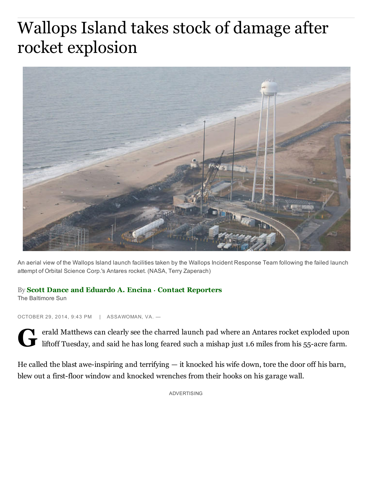## Wallops Island takes stock of damage after rocket explosion



An aerial view of the Wallops Island launch facilities taken by the Wallops Incident Response Team following the failed launch attempt of Orbital Science Corp.'s Antares rocket. (NASA, Terry Zaperach)

## By Scott [Dance](http://www.carrollcountytimes.com/bal-scott-dance-20141006-staff.html#nt=byline) and [Eduardo](http://www.carrollcountytimes.com/bal-eduardo-a-encina-20141007-staff.html#nt=byline) A. Encina  $\cdot$  Contact [Reporters](mailto:sdance@baltsun.com,eencina@baltsun.com?subject=Regarding:%20%22Wallops%20Island%20takes%20stock%20of%20damage%20after%20rocket%20explosion%22)

The Baltimore Sun

OCTOBER 29, 2014, 9:43 PM | ASSAWOMAN, VA. -

G erald Matthews can clearly see the charred launch pad where an Antares rocket exploded upon liftoff Tuesday, and said he has long feared such a mishap just 1.6 miles from his 55-acre farm.

He called the blast awe-inspiring and terrifying  $-$  it knocked his wife down, tore the door off his barn, blew out a first-floor window and knocked wrenches from their hooks on his garage wall.

ADVERTISING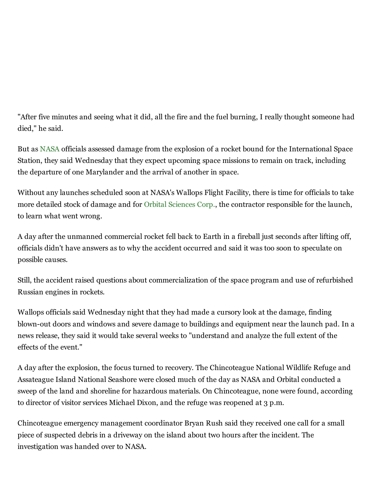"After five minutes and seeing what it did, all the fire and the fuel burning, I really thought someone had died," he said.

But as [NASA](http://www.carrollcountytimes.com/topic/science/space/nasa-ORGOV000098-topic.html) officials assessed damage from the explosion of a rocket bound for the International Space Station, they said Wednesday that they expect upcoming space missions to remain on track, including the departure of one Marylander and the arrival of another in space.

Without any launches scheduled soon at NASA's Wallops Flight Facility, there is time for officials to take more detailed stock of damage and for Orbital [Sciences](http://www.carrollcountytimes.com/topic/business/orbital-sciences-ORCOM00043-topic.html) Corp., the contractor responsible for the launch, to learn what went wrong.

A day after the unmanned commercial rocket fell back to Earth in a fireball just seconds after lifting off, officials didn't have answers as to why the accident occurred and said it was too soon to speculate on possible causes.

Still, the accident raised questions about commercialization of the space program and use of refurbished Russian engines in rockets.

Wallops officials said Wednesday night that they had made a cursory look at the damage, finding blown-out doors and windows and severe damage to buildings and equipment near the launch pad. In a news release, they said it would take several weeks to "understand and analyze the full extent of the effects of the event."

A day after the explosion, the focus turned to recovery. The Chincoteague National Wildlife Refuge and Assateague Island National Seashore were closed much of the day as NASA and Orbital conducted a sweep of the land and shoreline for hazardous materials. On Chincoteague, none were found, according to director of visitor services Michael Dixon, and the refuge was reopened at 3 p.m.

Chincoteague emergency management coordinator Bryan Rush said they received one call for a small piece of suspected debris in a driveway on the island about two hours after the incident. The investigation was handed over to NASA.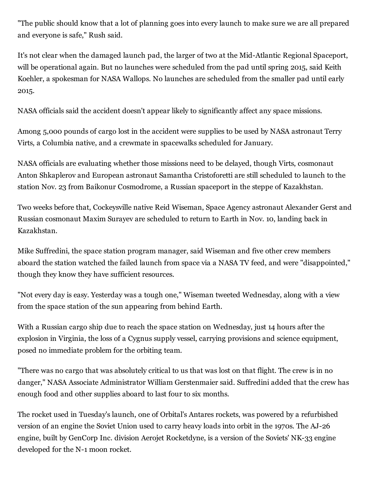"The public should know that a lot of planning goes into every launch to make sure we are all prepared and everyone is safe," Rush said.

It's not clear when the damaged launch pad, the larger of two at the Mid-Atlantic Regional Spaceport, will be operational again. But no launches were scheduled from the pad until spring 2015, said Keith Koehler, a spokesman for NASA Wallops. No launches are scheduled from the smaller pad until early 2015.

NASA officials said the accident doesn't appear likely to significantly affect any space missions.

Among 5,000 pounds of cargo lost in the accident were supplies to be used by NASA astronaut Terry Virts, a Columbia native, and a crewmate in spacewalks scheduled for January.

NASA officials are evaluating whether those missions need to be delayed, though Virts, cosmonaut Anton Shkaplerov and European astronaut Samantha Cristoforetti are still scheduled to launch to the station Nov. 23 from Baikonur Cosmodrome, a Russian spaceport in the steppe of Kazakhstan.

Two weeks before that, Cockeysville native Reid Wiseman, Space Agency astronaut Alexander Gerst and Russian cosmonaut Maxim Surayev are scheduled to return to Earth in Nov. 10, landing back in Kazakhstan.

Mike Suffredini, the space station program manager, said Wiseman and five other crew members aboard the station watched the failed launch from space via a NASA TV feed, and were "disappointed," though they know they have sufficient resources.

"Not every day is easy. Yesterday was a tough one," Wiseman tweeted Wednesday, along with a view from the space station of the sun appearing from behind Earth.

With a Russian cargo ship due to reach the space station on Wednesday, just 14 hours after the explosion in Virginia, the loss of a Cygnus supply vessel, carrying provisions and science equipment, posed no immediate problem for the orbiting team.

"There was no cargo that was absolutely critical to us that was lost on that flight. The crew is in no danger," NASA Associate Administrator William Gerstenmaier said. Suffredini added that the crew has enough food and other supplies aboard to last four to six months.

The rocket used in Tuesday's launch, one of Orbital's Antares rockets, was powered by a refurbished version of an engine the Soviet Union used to carry heavy loads into orbit in the 1970s. The AJ-26 engine, built by GenCorp Inc. division Aerojet Rocketdyne, is a version of the Soviets' NK-33 engine developed for the N-1 moon rocket.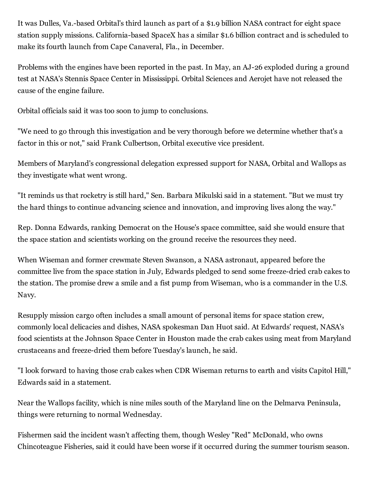It was Dulles, Va.-based Orbital's third launch as part of a \$1.9 billion NASA contract for eight space station supply missions. California-based SpaceX has a similar \$1.6 billion contract and is scheduled to make its fourth launch from Cape Canaveral, Fla., in December.

Problems with the engines have been reported in the past. In May, an AJ-26 exploded during a ground test at NASA's Stennis Space Center in Mississippi. Orbital Sciences and Aerojet have not released the cause of the engine failure.

Orbital officials said it was too soon to jump to conclusions.

"We need to go through this investigation and be very thorough before we determine whether that's a factor in this or not," said Frank Culbertson, Orbital executive vice president.

Members of Maryland's congressional delegation expressed support for NASA, Orbital and Wallops as they investigate what went wrong.

"It reminds us that rocketry is still hard," Sen. Barbara Mikulski said in a statement. "But we must try the hard things to continue advancing science and innovation, and improving lives along the way."

Rep. Donna Edwards, ranking Democrat on the House's space committee, said she would ensure that the space station and scientists working on the ground receive the resources they need.

When Wiseman and former crewmate Steven Swanson, a NASA astronaut, appeared before the committee live from the space station in July, Edwards pledged to send some freeze-dried crab cakes to the station. The promise drew a smile and a fist pump from Wiseman, who is a commander in the U.S. Navy.

Resupply mission cargo often includes a small amount of personal items for space station crew, commonly local delicacies and dishes, NASA spokesman Dan Huot said. At Edwards' request, NASA's food scientists at the Johnson Space Center in Houston made the crab cakes using meat from Maryland crustaceans and freeze-dried them before Tuesday's launch, he said.

"I look forward to having those crab cakes when CDR Wiseman returns to earth and visits Capitol Hill," Edwards said in a statement.

Near the Wallops facility, which is nine miles south of the Maryland line on the Delmarva Peninsula, things were returning to normal Wednesday.

Fishermen said the incident wasn't affecting them, though Wesley "Red" McDonald, who owns Chincoteague Fisheries, said it could have been worse if it occurred during the summer tourism season.